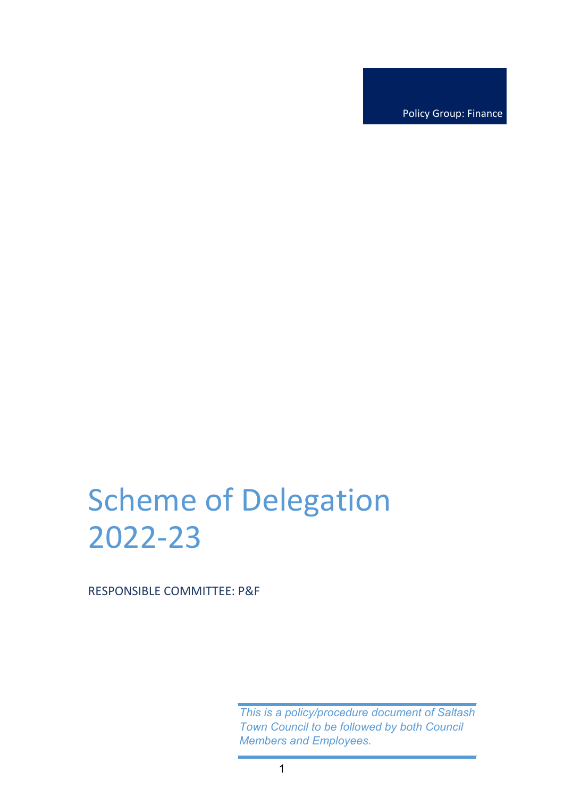Policy Group: Finance

# Scheme of Delegation 2022-23

RESPONSIBLE COMMITTEE: P&F

*This is a policy/procedure document of Saltash Town Council to be followed by both Council Members and Employees.*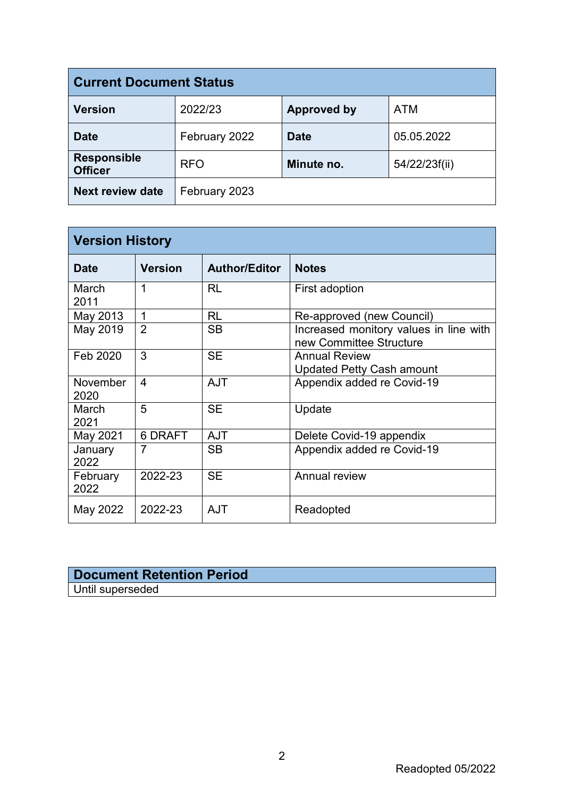| <b>Current Document Status</b>       |               |                    |               |  |
|--------------------------------------|---------------|--------------------|---------------|--|
| <b>Version</b>                       | 2022/23       | <b>Approved by</b> | <b>ATM</b>    |  |
| <b>Date</b>                          | February 2022 | <b>Date</b>        | 05.05.2022    |  |
| <b>Responsible</b><br><b>Officer</b> | <b>RFO</b>    | Minute no.         | 54/22/23f(ii) |  |
| <b>Next review date</b>              | February 2023 |                    |               |  |

| <b>Version History</b> |                |                      |                                                                   |  |
|------------------------|----------------|----------------------|-------------------------------------------------------------------|--|
| <b>Date</b>            | <b>Version</b> | <b>Author/Editor</b> | <b>Notes</b>                                                      |  |
| March<br>2011          | 1              | RL                   | First adoption                                                    |  |
| May 2013               | 1              | RL                   | Re-approved (new Council)                                         |  |
| May 2019               | $\overline{2}$ | <b>SB</b>            | Increased monitory values in line with<br>new Committee Structure |  |
| Feb 2020               | 3              | <b>SE</b>            | <b>Annual Review</b><br><b>Updated Petty Cash amount</b>          |  |
| November<br>2020       | $\overline{4}$ | <b>AJT</b>           | Appendix added re Covid-19                                        |  |
| March<br>2021          | 5              | <b>SE</b>            | Update                                                            |  |
| May 2021               | 6 DRAFT        | <b>AJT</b>           | Delete Covid-19 appendix                                          |  |
| January<br>2022        | $\overline{7}$ | <b>SB</b>            | Appendix added re Covid-19                                        |  |
| February<br>2022       | 2022-23        | <b>SE</b>            | Annual review                                                     |  |
| May 2022               | 2022-23        | AJT                  | Readopted                                                         |  |

## **Document Retention Period** Until superseded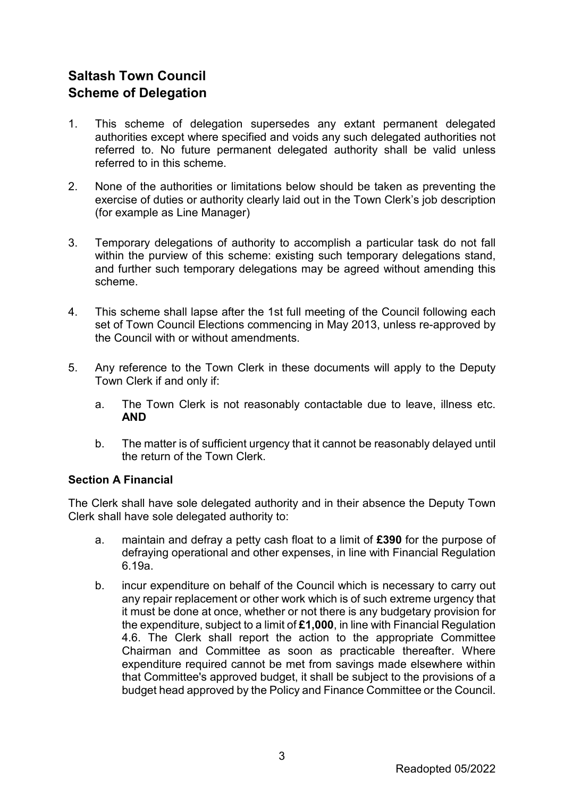# **Saltash Town Council Scheme of Delegation**

- 1. This scheme of delegation supersedes any extant permanent delegated authorities except where specified and voids any such delegated authorities not referred to. No future permanent delegated authority shall be valid unless referred to in this scheme.
- 2. None of the authorities or limitations below should be taken as preventing the exercise of duties or authority clearly laid out in the Town Clerk's job description (for example as Line Manager)
- 3. Temporary delegations of authority to accomplish a particular task do not fall within the purview of this scheme: existing such temporary delegations stand, and further such temporary delegations may be agreed without amending this scheme.
- 4. This scheme shall lapse after the 1st full meeting of the Council following each set of Town Council Elections commencing in May 2013, unless re-approved by the Council with or without amendments.
- 5. Any reference to the Town Clerk in these documents will apply to the Deputy Town Clerk if and only if:
	- a. The Town Clerk is not reasonably contactable due to leave, illness etc. **AND**
	- b. The matter is of sufficient urgency that it cannot be reasonably delayed until the return of the Town Clerk.

## **Section A Financial**

The Clerk shall have sole delegated authority and in their absence the Deputy Town Clerk shall have sole delegated authority to:

- a. maintain and defray a petty cash float to a limit of **£390** for the purpose of defraying operational and other expenses, in line with Financial Regulation 6.19a.
- b. incur expenditure on behalf of the Council which is necessary to carry out any repair replacement or other work which is of such extreme urgency that it must be done at once, whether or not there is any budgetary provision for the expenditure, subject to a limit of **£1,000**, in line with Financial Regulation 4.6. The Clerk shall report the action to the appropriate Committee Chairman and Committee as soon as practicable thereafter. Where expenditure required cannot be met from savings made elsewhere within that Committee's approved budget, it shall be subject to the provisions of a budget head approved by the Policy and Finance Committee or the Council.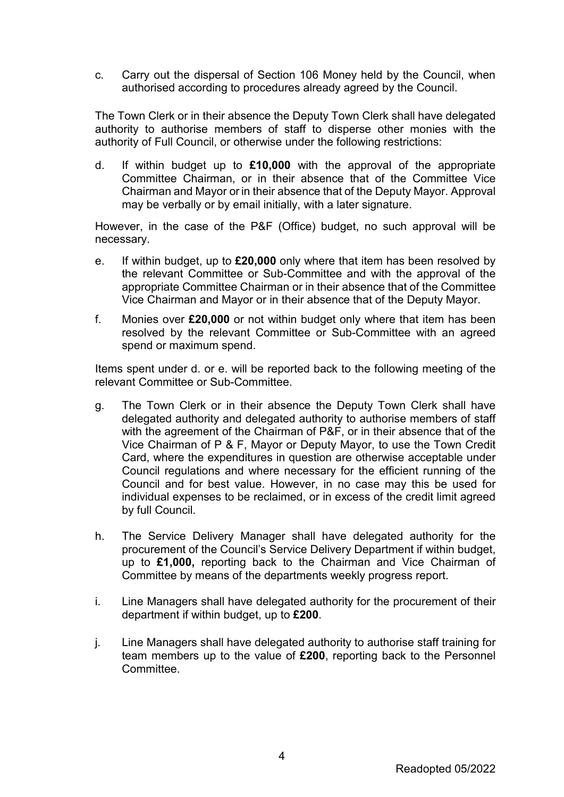c. Carry out the dispersal of Section 106 Money held by the Council, when authorised according to procedures already agreed by the Council.

The Town Clerk or in their absence the Deputy Town Clerk shall have delegated authority to authorise members of staff to disperse other monies with the authority of Full Council, or otherwise under the following restrictions:

d. If within budget up to **£10,000** with the approval of the appropriate Committee Chairman, or in their absence that of the Committee Vice Chairman and Mayor or in their absence that of the Deputy Mayor. Approval may be verbally or by email initially, with a later signature.

However, in the case of the P&F (Office) budget, no such approval will be necessary.

- e. If within budget, up to **£20,000** only where that item has been resolved by the relevant Committee or Sub-Committee and with the approval of the appropriate Committee Chairman or in their absence that of the Committee Vice Chairman and Mayor or in their absence that of the Deputy Mayor.
- f. Monies over **£20,000** or not within budget only where that item has been resolved by the relevant Committee or Sub-Committee with an agreed spend or maximum spend.

Items spent under d. or e. will be reported back to the following meeting of the relevant Committee or Sub-Committee.

- g. The Town Clerk or in their absence the Deputy Town Clerk shall have delegated authority and delegated authority to authorise members of staff with the agreement of the Chairman of P&F, or in their absence that of the Vice Chairman of P & F, Mayor or Deputy Mayor, to use the Town Credit Card, where the expenditures in question are otherwise acceptable under Council regulations and where necessary for the efficient running of the Council and for best value. However, in no case may this be used for individual expenses to be reclaimed, or in excess of the credit limit agreed by full Council.
- h. The Service Delivery Manager shall have delegated authority for the procurement of the Council's Service Delivery Department if within budget, up to **£1,000,** reporting back to the Chairman and Vice Chairman of Committee by means of the departments weekly progress report.
- i. Line Managers shall have delegated authority for the procurement of their department if within budget, up to **£200**.
- j. Line Managers shall have delegated authority to authorise staff training for team members up to the value of **£200**, reporting back to the Personnel Committee.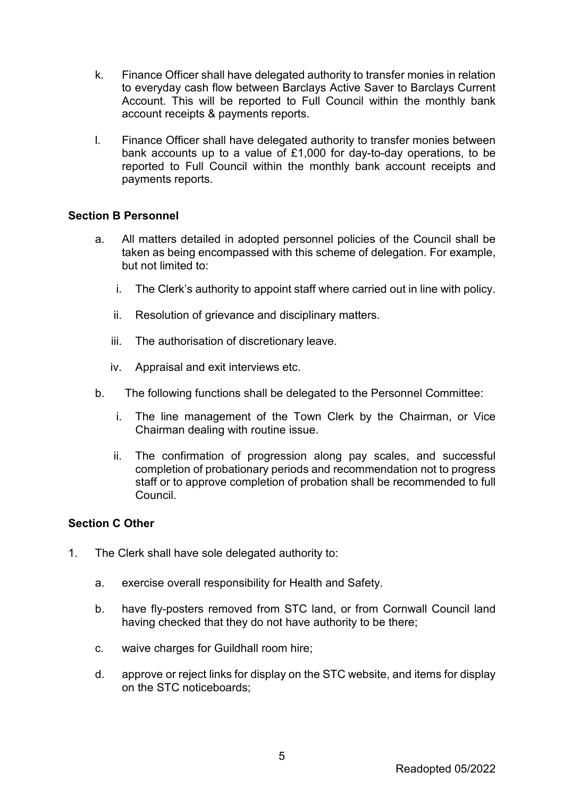- k. Finance Officer shall have delegated authority to transfer monies in relation to everyday cash flow between Barclays Active Saver to Barclays Current Account. This will be reported to Full Council within the monthly bank account receipts & payments reports.
- l. Finance Officer shall have delegated authority to transfer monies between bank accounts up to a value of £1,000 for day-to-day operations, to be reported to Full Council within the monthly bank account receipts and payments reports.

#### **Section B Personnel**

- a. All matters detailed in adopted personnel policies of the Council shall be taken as being encompassed with this scheme of delegation. For example, but not limited to:
	- i. The Clerk's authority to appoint staff where carried out in line with policy.
	- ii. Resolution of grievance and disciplinary matters.
	- iii. The authorisation of discretionary leave.
	- iv. Appraisal and exit interviews etc.
- b. The following functions shall be delegated to the Personnel Committee:
	- i. The line management of the Town Clerk by the Chairman, or Vice Chairman dealing with routine issue.
	- ii. The confirmation of progression along pay scales, and successful completion of probationary periods and recommendation not to progress staff or to approve completion of probation shall be recommended to full Council.

#### **Section C Other**

- 1. The Clerk shall have sole delegated authority to:
	- a. exercise overall responsibility for Health and Safety.
	- b. have fly-posters removed from STC land, or from Cornwall Council land having checked that they do not have authority to be there;
	- c. waive charges for Guildhall room hire;
	- d. approve or reject links for display on the STC website, and items for display on the STC noticeboards;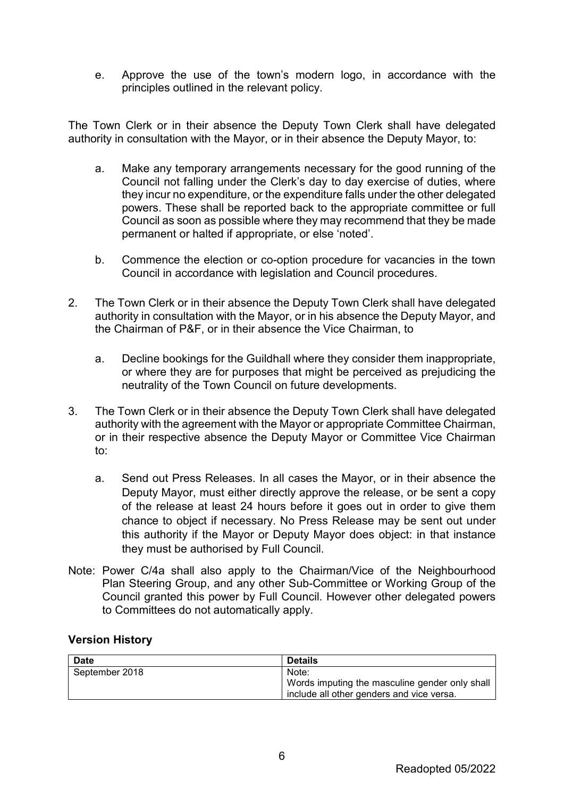e. Approve the use of the town's modern logo, in accordance with the principles outlined in the relevant policy.

The Town Clerk or in their absence the Deputy Town Clerk shall have delegated authority in consultation with the Mayor, or in their absence the Deputy Mayor, to:

- a. Make any temporary arrangements necessary for the good running of the Council not falling under the Clerk's day to day exercise of duties, where they incur no expenditure, or the expenditure falls under the other delegated powers. These shall be reported back to the appropriate committee or full Council as soon as possible where they may recommend that they be made permanent or halted if appropriate, or else 'noted'.
- b. Commence the election or co-option procedure for vacancies in the town Council in accordance with legislation and Council procedures.
- 2. The Town Clerk or in their absence the Deputy Town Clerk shall have delegated authority in consultation with the Mayor, or in his absence the Deputy Mayor, and the Chairman of P&F, or in their absence the Vice Chairman, to
	- a. Decline bookings for the Guildhall where they consider them inappropriate, or where they are for purposes that might be perceived as prejudicing the neutrality of the Town Council on future developments.
- 3. The Town Clerk or in their absence the Deputy Town Clerk shall have delegated authority with the agreement with the Mayor or appropriate Committee Chairman, or in their respective absence the Deputy Mayor or Committee Vice Chairman to:
	- a. Send out Press Releases. In all cases the Mayor, or in their absence the Deputy Mayor, must either directly approve the release, or be sent a copy of the release at least 24 hours before it goes out in order to give them chance to object if necessary. No Press Release may be sent out under this authority if the Mayor or Deputy Mayor does object: in that instance they must be authorised by Full Council.
- Note: Power C/4a shall also apply to the Chairman/Vice of the Neighbourhood Plan Steering Group, and any other Sub-Committee or Working Group of the Council granted this power by Full Council. However other delegated powers to Committees do not automatically apply.

#### **Version History**

| <b>Date</b>    | <b>Details</b>                                 |
|----------------|------------------------------------------------|
| September 2018 | Note:                                          |
|                | Words imputing the masculine gender only shall |
|                | include all other genders and vice versa.      |